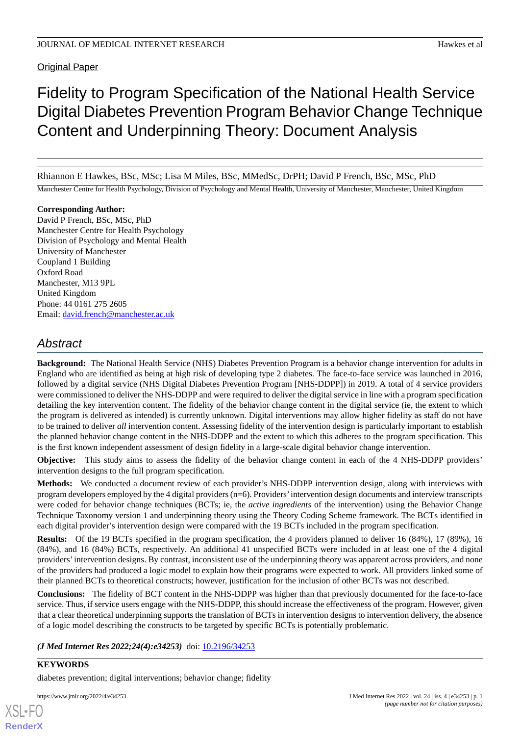**Original Paper** 

# Fidelity to Program Specification of the National Health Service Digital Diabetes Prevention Program Behavior Change Technique Content and Underpinning Theory: Document Analysis

Rhiannon E Hawkes, BSc, MSc; Lisa M Miles, BSc, MMedSc, DrPH; David P French, BSc, MSc, PhD

Manchester Centre for Health Psychology, Division of Psychology and Mental Health, University of Manchester, Manchester, United Kingdom

#### **Corresponding Author:**

David P French, BSc, MSc, PhD Manchester Centre for Health Psychology Division of Psychology and Mental Health University of Manchester Coupland 1 Building Oxford Road Manchester, M13 9PL United Kingdom Phone: 44 0161 275 2605 Email: [david.french@manchester.ac.uk](mailto:david.french@manchester.ac.uk)

## *Abstract*

**Background:** The National Health Service (NHS) Diabetes Prevention Program is a behavior change intervention for adults in England who are identified as being at high risk of developing type 2 diabetes. The face-to-face service was launched in 2016, followed by a digital service (NHS Digital Diabetes Prevention Program [NHS-DDPP]) in 2019. A total of 4 service providers were commissioned to deliver the NHS-DDPP and were required to deliver the digital service in line with a program specification detailing the key intervention content. The fidelity of the behavior change content in the digital service (ie, the extent to which the program is delivered as intended) is currently unknown. Digital interventions may allow higher fidelity as staff do not have to be trained to deliver *all* intervention content. Assessing fidelity of the intervention design is particularly important to establish the planned behavior change content in the NHS-DDPP and the extent to which this adheres to the program specification. This is the first known independent assessment of design fidelity in a large-scale digital behavior change intervention.

**Objective:** This study aims to assess the fidelity of the behavior change content in each of the 4 NHS-DDPP providers' intervention designs to the full program specification.

**Methods:** We conducted a document review of each provider's NHS-DDPP intervention design, along with interviews with program developers employed by the 4 digital providers (n=6). Providers'intervention design documents and interview transcripts were coded for behavior change techniques (BCTs; ie, the *active ingredients* of the intervention) using the Behavior Change Technique Taxonomy version 1 and underpinning theory using the Theory Coding Scheme framework. The BCTs identified in each digital provider's intervention design were compared with the 19 BCTs included in the program specification.

**Results:** Of the 19 BCTs specified in the program specification, the 4 providers planned to deliver 16 (84%), 17 (89%), 16 (84%), and 16 (84%) BCTs, respectively. An additional 41 unspecified BCTs were included in at least one of the 4 digital providers'intervention designs. By contrast, inconsistent use of the underpinning theory was apparent across providers, and none of the providers had produced a logic model to explain how their programs were expected to work. All providers linked some of their planned BCTs to theoretical constructs; however, justification for the inclusion of other BCTs was not described.

**Conclusions:** The fidelity of BCT content in the NHS-DDPP was higher than that previously documented for the face-to-face service. Thus, if service users engage with the NHS-DDPP, this should increase the effectiveness of the program. However, given that a clear theoretical underpinning supports the translation of BCTs in intervention designs to intervention delivery, the absence of a logic model describing the constructs to be targeted by specific BCTs is potentially problematic.

*(J Med Internet Res 2022;24(4):e34253)* doi:  $10.2196/34253$ 

## **KEYWORDS**

[XSL](http://www.w3.org/Style/XSL)•FO **[RenderX](http://www.renderx.com/)**

diabetes prevention; digital interventions; behavior change; fidelity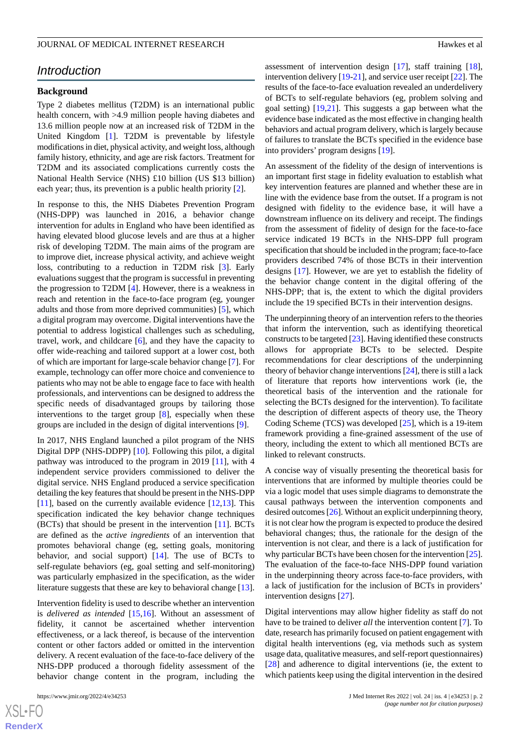## *Introduction*

#### **Background**

Type 2 diabetes mellitus (T2DM) is an international public health concern, with >4.9 million people having diabetes and 13.6 million people now at an increased risk of T2DM in the United Kingdom [\[1](#page-12-0)]. T2DM is preventable by lifestyle modifications in diet, physical activity, and weight loss, although family history, ethnicity, and age are risk factors. Treatment for T2DM and its associated complications currently costs the National Health Service (NHS) £10 billion (US \$13 billion) each year; thus, its prevention is a public health priority [[2\]](#page-12-1).

In response to this, the NHS Diabetes Prevention Program (NHS-DPP) was launched in 2016, a behavior change intervention for adults in England who have been identified as having elevated blood glucose levels and are thus at a higher risk of developing T2DM. The main aims of the program are to improve diet, increase physical activity, and achieve weight loss, contributing to a reduction in T2DM risk [[3\]](#page-12-2). Early evaluations suggest that the program is successful in preventing the progression to T2DM [\[4](#page-12-3)]. However, there is a weakness in reach and retention in the face-to-face program (eg, younger adults and those from more deprived communities) [[5\]](#page-12-4), which a digital program may overcome. Digital interventions have the potential to address logistical challenges such as scheduling, travel, work, and childcare [[6\]](#page-12-5), and they have the capacity to offer wide-reaching and tailored support at a lower cost, both of which are important for large-scale behavior change [[7\]](#page-12-6). For example, technology can offer more choice and convenience to patients who may not be able to engage face to face with health professionals, and interventions can be designed to address the specific needs of disadvantaged groups by tailoring those interventions to the target group [[8\]](#page-12-7), especially when these groups are included in the design of digital interventions [\[9](#page-12-8)].

In 2017, NHS England launched a pilot program of the NHS Digital DPP (NHS-DDPP) [[10\]](#page-12-9). Following this pilot, a digital pathway was introduced to the program in 2019 [\[11](#page-12-10)], with 4 independent service providers commissioned to deliver the digital service. NHS England produced a service specification detailing the key features that should be present in the NHS-DPP [[11\]](#page-12-10), based on the currently available evidence [[12](#page-12-11)[,13](#page-12-12)]. This specification indicated the key behavior change techniques (BCTs) that should be present in the intervention [\[11](#page-12-10)]. BCTs are defined as the *active ingredients* of an intervention that promotes behavioral change (eg, setting goals, monitoring behavior, and social support) [[14\]](#page-12-13). The use of BCTs to self-regulate behaviors (eg, goal setting and self-monitoring) was particularly emphasized in the specification, as the wider literature suggests that these are key to behavioral change [[13\]](#page-12-12).

Intervention fidelity is used to describe whether an intervention is *delivered as intended* [[15,](#page-13-0)[16](#page-13-1)]. Without an assessment of fidelity, it cannot be ascertained whether intervention effectiveness, or a lack thereof, is because of the intervention content or other factors added or omitted in the intervention delivery. A recent evaluation of the face-to-face delivery of the NHS-DPP produced a thorough fidelity assessment of the behavior change content in the program, including the

 $XS$ -FO **[RenderX](http://www.renderx.com/)** assessment of intervention design [\[17](#page-13-2)], staff training [[18\]](#page-13-3), intervention delivery [\[19](#page-13-4)[-21](#page-13-5)], and service user receipt [[22\]](#page-13-6). The results of the face-to-face evaluation revealed an underdelivery of BCTs to self-regulate behaviors (eg, problem solving and goal setting) [[19](#page-13-4)[,21](#page-13-5)]. This suggests a gap between what the evidence base indicated as the most effective in changing health behaviors and actual program delivery, which is largely because of failures to translate the BCTs specified in the evidence base into providers' program designs [[19\]](#page-13-4).

An assessment of the fidelity of the design of interventions is an important first stage in fidelity evaluation to establish what key intervention features are planned and whether these are in line with the evidence base from the outset. If a program is not designed with fidelity to the evidence base, it will have a downstream influence on its delivery and receipt. The findings from the assessment of fidelity of design for the face-to-face service indicated 19 BCTs in the NHS-DPP full program specification that should be included in the program; face-to-face providers described 74% of those BCTs in their intervention designs [\[17](#page-13-2)]. However, we are yet to establish the fidelity of the behavior change content in the digital offering of the NHS-DPP; that is, the extent to which the digital providers include the 19 specified BCTs in their intervention designs.

The underpinning theory of an intervention refers to the theories that inform the intervention, such as identifying theoretical constructs to be targeted [\[23\]](#page-13-7). Having identified these constructs allows for appropriate BCTs to be selected. Despite recommendations for clear descriptions of the underpinning theory of behavior change interventions [[24\]](#page-13-8), there is still a lack of literature that reports how interventions work (ie, the theoretical basis of the intervention and the rationale for selecting the BCTs designed for the intervention). To facilitate the description of different aspects of theory use, the Theory Coding Scheme (TCS) was developed [[25\]](#page-13-9), which is a 19-item framework providing a fine-grained assessment of the use of theory, including the extent to which all mentioned BCTs are linked to relevant constructs.

A concise way of visually presenting the theoretical basis for interventions that are informed by multiple theories could be via a logic model that uses simple diagrams to demonstrate the causal pathways between the intervention components and desired outcomes [\[26](#page-13-10)]. Without an explicit underpinning theory, it is not clear how the program is expected to produce the desired behavioral changes; thus, the rationale for the design of the intervention is not clear, and there is a lack of justification for why particular BCTs have been chosen for the intervention [\[25\]](#page-13-9). The evaluation of the face-to-face NHS-DPP found variation in the underpinning theory across face-to-face providers, with a lack of justification for the inclusion of BCTs in providers' intervention designs [\[27](#page-13-11)].

Digital interventions may allow higher fidelity as staff do not have to be trained to deliver *all* the intervention content [\[7](#page-12-6)]. To date, research has primarily focused on patient engagement with digital health interventions (eg, via methods such as system usage data, qualitative measures, and self-report questionnaires) [[28\]](#page-13-12) and adherence to digital interventions (ie, the extent to which patients keep using the digital intervention in the desired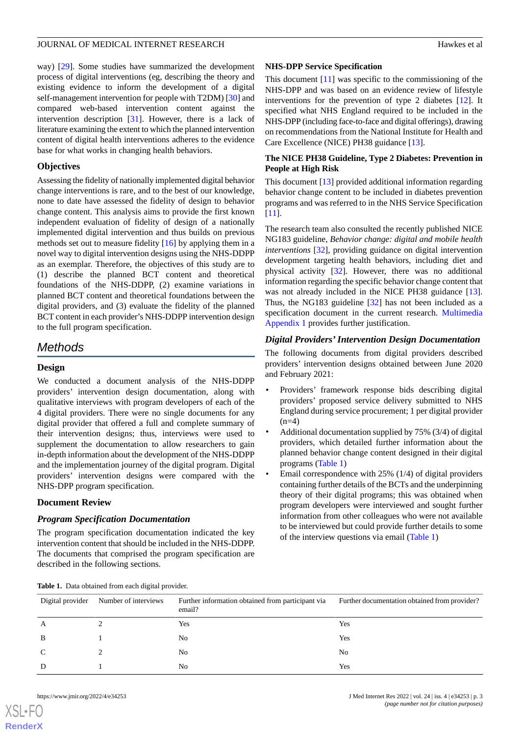way) [[29\]](#page-13-13). Some studies have summarized the development process of digital interventions (eg, describing the theory and existing evidence to inform the development of a digital self-management intervention for people with T2DM) [[30\]](#page-13-14) and compared web-based intervention content against the intervention description [\[31](#page-13-15)]. However, there is a lack of literature examining the extent to which the planned intervention content of digital health interventions adheres to the evidence base for what works in changing health behaviors.

#### **Objectives**

Assessing the fidelity of nationally implemented digital behavior change interventions is rare, and to the best of our knowledge, none to date have assessed the fidelity of design to behavior change content. This analysis aims to provide the first known independent evaluation of fidelity of design of a nationally implemented digital intervention and thus builds on previous methods set out to measure fidelity [\[16](#page-13-1)] by applying them in a novel way to digital intervention designs using the NHS-DDPP as an exemplar. Therefore, the objectives of this study are to (1) describe the planned BCT content and theoretical foundations of the NHS-DDPP, (2) examine variations in planned BCT content and theoretical foundations between the digital providers, and (3) evaluate the fidelity of the planned BCT content in each provider's NHS-DDPP intervention design to the full program specification.

## *Methods*

## **Design**

We conducted a document analysis of the NHS-DDPP providers' intervention design documentation, along with qualitative interviews with program developers of each of the 4 digital providers. There were no single documents for any digital provider that offered a full and complete summary of their intervention designs; thus, interviews were used to supplement the documentation to allow researchers to gain in-depth information about the development of the NHS-DDPP and the implementation journey of the digital program. Digital providers' intervention designs were compared with the NHS-DPP program specification.

#### **Document Review**

#### *Program Specification Documentation*

<span id="page-2-0"></span>The program specification documentation indicated the key intervention content that should be included in the NHS-DDPP. The documents that comprised the program specification are described in the following sections.

#### **NHS-DPP Service Specification**

This document [\[11](#page-12-10)] was specific to the commissioning of the NHS-DPP and was based on an evidence review of lifestyle interventions for the prevention of type 2 diabetes [\[12](#page-12-11)]. It specified what NHS England required to be included in the NHS-DPP (including face-to-face and digital offerings), drawing on recommendations from the National Institute for Health and Care Excellence (NICE) PH38 guidance [\[13](#page-12-12)].

## **The NICE PH38 Guideline, Type 2 Diabetes: Prevention in People at High Risk**

This document [\[13](#page-12-12)] provided additional information regarding behavior change content to be included in diabetes prevention programs and was referred to in the NHS Service Specification [[11\]](#page-12-10).

The research team also consulted the recently published NICE NG183 guideline, *Behavior change: digital and mobile health interventions* [\[32](#page-13-16)], providing guidance on digital intervention development targeting health behaviors, including diet and physical activity [\[32](#page-13-16)]. However, there was no additional information regarding the specific behavior change content that was not already included in the NICE PH38 guidance [[13\]](#page-12-12). Thus, the NG183 guideline [[32\]](#page-13-16) has not been included as a specification document in the current research. [Multimedia](#page-12-14) [Appendix 1](#page-12-14) provides further justification.

## *Digital Providers'Intervention Design Documentation*

The following documents from digital providers described providers' intervention designs obtained between June 2020 and February 2021:

- Providers' framework response bids describing digital providers' proposed service delivery submitted to NHS England during service procurement; 1 per digital provider  $(n=4)$
- Additional documentation supplied by 75% (3/4) of digital providers, which detailed further information about the planned behavior change content designed in their digital programs [\(Table 1\)](#page-2-0)
- Email correspondence with 25% (1/4) of digital providers containing further details of the BCTs and the underpinning theory of their digital programs; this was obtained when program developers were interviewed and sought further information from other colleagues who were not available to be interviewed but could provide further details to some of the interview questions via email [\(Table 1\)](#page-2-0)

|  | <b>Table 1.</b> Data obtained from each digital provider. |  |  |  |
|--|-----------------------------------------------------------|--|--|--|
|--|-----------------------------------------------------------|--|--|--|

| Digital provider | Number of interviews | Further information obtained from participant via<br>email? | Further documentation obtained from provider? |
|------------------|----------------------|-------------------------------------------------------------|-----------------------------------------------|
| А                |                      | Yes                                                         | Yes                                           |
| B                |                      | N <sub>0</sub>                                              | Yes                                           |
|                  |                      | N <sub>0</sub>                                              | N <sub>0</sub>                                |
|                  |                      | No                                                          | Yes                                           |
|                  |                      |                                                             |                                               |

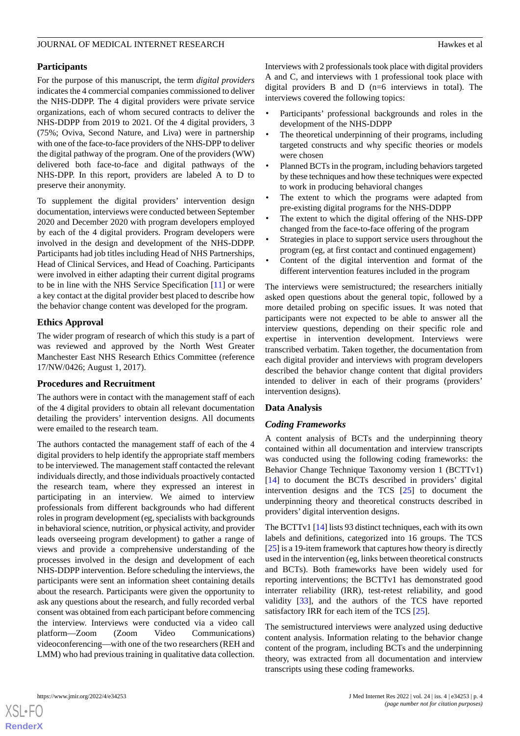### **Participants**

For the purpose of this manuscript, the term *digital providers* indicates the 4 commercial companies commissioned to deliver the NHS-DDPP. The 4 digital providers were private service organizations, each of whom secured contracts to deliver the NHS-DDPP from 2019 to 2021. Of the 4 digital providers, 3 (75%; Oviva, Second Nature, and Liva) were in partnership with one of the face-to-face providers of the NHS-DPP to deliver the digital pathway of the program. One of the providers (WW) delivered both face-to-face and digital pathways of the NHS-DPP. In this report, providers are labeled A to D to preserve their anonymity.

To supplement the digital providers' intervention design documentation, interviews were conducted between September 2020 and December 2020 with program developers employed by each of the 4 digital providers. Program developers were involved in the design and development of the NHS-DDPP. Participants had job titles including Head of NHS Partnerships, Head of Clinical Services, and Head of Coaching. Participants were involved in either adapting their current digital programs to be in line with the NHS Service Specification [[11\]](#page-12-10) or were a key contact at the digital provider best placed to describe how the behavior change content was developed for the program.

## **Ethics Approval**

The wider program of research of which this study is a part of was reviewed and approved by the North West Greater Manchester East NHS Research Ethics Committee (reference 17/NW/0426; August 1, 2017).

#### **Procedures and Recruitment**

The authors were in contact with the management staff of each of the 4 digital providers to obtain all relevant documentation detailing the providers' intervention designs. All documents were emailed to the research team.

The authors contacted the management staff of each of the 4 digital providers to help identify the appropriate staff members to be interviewed. The management staff contacted the relevant individuals directly, and those individuals proactively contacted the research team, where they expressed an interest in participating in an interview. We aimed to interview professionals from different backgrounds who had different roles in program development (eg, specialists with backgrounds in behavioral science, nutrition, or physical activity, and provider leads overseeing program development) to gather a range of views and provide a comprehensive understanding of the processes involved in the design and development of each NHS-DDPP intervention. Before scheduling the interviews, the participants were sent an information sheet containing details about the research. Participants were given the opportunity to ask any questions about the research, and fully recorded verbal consent was obtained from each participant before commencing the interview. Interviews were conducted via a video call platform—Zoom (Zoom Video Communications) videoconferencing—with one of the two researchers (REH and LMM) who had previous training in qualitative data collection.

Interviews with 2 professionals took place with digital providers A and C, and interviews with 1 professional took place with digital providers B and D (n=6 interviews in total). The interviews covered the following topics:

- Participants' professional backgrounds and roles in the development of the NHS-DDPP
- The theoretical underpinning of their programs, including targeted constructs and why specific theories or models were chosen
- Planned BCTs in the program, including behaviors targeted by these techniques and how these techniques were expected to work in producing behavioral changes
- The extent to which the programs were adapted from pre-existing digital programs for the NHS-DDPP
- The extent to which the digital offering of the NHS-DPP changed from the face-to-face offering of the program
- Strategies in place to support service users throughout the program (eg, at first contact and continued engagement)
- Content of the digital intervention and format of the different intervention features included in the program

The interviews were semistructured; the researchers initially asked open questions about the general topic, followed by a more detailed probing on specific issues. It was noted that participants were not expected to be able to answer all the interview questions, depending on their specific role and expertise in intervention development. Interviews were transcribed verbatim. Taken together, the documentation from each digital provider and interviews with program developers described the behavior change content that digital providers intended to deliver in each of their programs (providers' intervention designs).

#### **Data Analysis**

## *Coding Frameworks*

A content analysis of BCTs and the underpinning theory contained within all documentation and interview transcripts was conducted using the following coding frameworks: the Behavior Change Technique Taxonomy version 1 (BCTTv1) [[14\]](#page-12-13) to document the BCTs described in providers' digital intervention designs and the TCS [\[25](#page-13-9)] to document the underpinning theory and theoretical constructs described in providers' digital intervention designs.

The BCTTv1 [[14\]](#page-12-13) lists 93 distinct techniques, each with its own labels and definitions, categorized into 16 groups. The TCS [[25\]](#page-13-9) is a 19-item framework that captures how theory is directly used in the intervention (eg, links between theoretical constructs and BCTs). Both frameworks have been widely used for reporting interventions; the BCTTv1 has demonstrated good interrater reliability (IRR), test-retest reliability, and good validity [\[33](#page-13-17)], and the authors of the TCS have reported satisfactory IRR for each item of the TCS [\[25](#page-13-9)].

The semistructured interviews were analyzed using deductive content analysis. Information relating to the behavior change content of the program, including BCTs and the underpinning theory, was extracted from all documentation and interview transcripts using these coding frameworks.

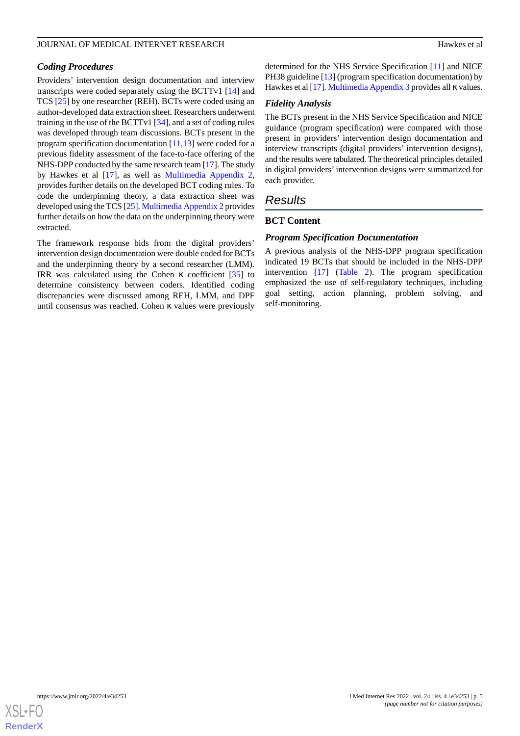#### *Coding Procedures*

Providers' intervention design documentation and interview transcripts were coded separately using the BCTTv1 [[14\]](#page-12-13) and TCS [\[25](#page-13-9)] by one researcher (REH). BCTs were coded using an author-developed data extraction sheet. Researchers underwent training in the use of the BCTTv1 [[34\]](#page-13-18), and a set of coding rules was developed through team discussions. BCTs present in the program specification documentation  $[11,13]$  $[11,13]$  $[11,13]$  were coded for a previous fidelity assessment of the face-to-face offering of the NHS-DPP conducted by the same research team [\[17](#page-13-2)]. The study by Hawkes et al [[17\]](#page-13-2), as well as [Multimedia Appendix 2](#page-12-15), provides further details on the developed BCT coding rules. To code the underpinning theory, a data extraction sheet was developed using the TCS [[25\]](#page-13-9). [Multimedia Appendix 2](#page-12-15) provides further details on how the data on the underpinning theory were extracted.

The framework response bids from the digital providers' intervention design documentation were double coded for BCTs and the underpinning theory by a second researcher (LMM). IRR was calculated using the Cohen κ coefficient [[35\]](#page-13-19) to determine consistency between coders. Identified coding discrepancies were discussed among REH, LMM, and DPF until consensus was reached. Cohen κ values were previously

determined for the NHS Service Specification [[11\]](#page-12-10) and NICE PH38 guideline [[13\]](#page-12-12) (program specification documentation) by Hawkes et al [\[17](#page-13-2)]. [Multimedia Appendix 3](#page-12-16) provides all κ values.

#### *Fidelity Analysis*

The BCTs present in the NHS Service Specification and NICE guidance (program specification) were compared with those present in providers' intervention design documentation and interview transcripts (digital providers' intervention designs), and the results were tabulated. The theoretical principles detailed in digital providers' intervention designs were summarized for each provider.

## *Results*

#### **BCT Content**

#### *Program Specification Documentation*

A previous analysis of the NHS-DPP program specification indicated 19 BCTs that should be included in the NHS-DPP intervention [\[17](#page-13-2)] ([Table 2\)](#page-5-0). The program specification emphasized the use of self-regulatory techniques, including goal setting, action planning, problem solving, and self-monitoring.

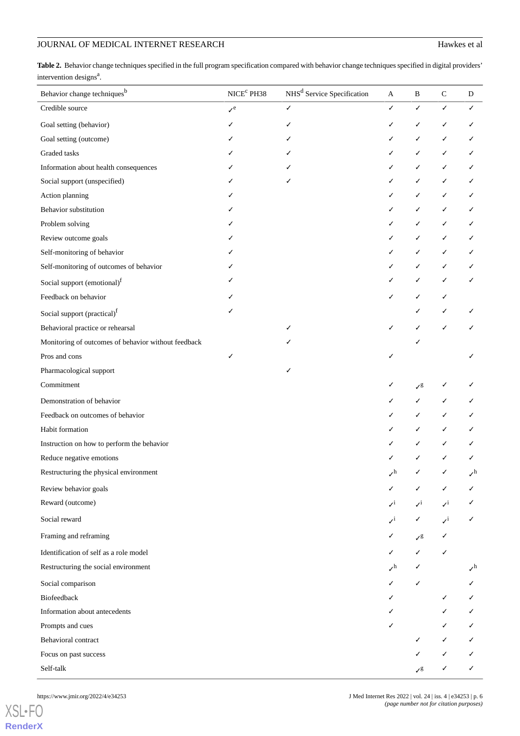## JOURNAL OF MEDICAL INTERNET RESEARCH Hawkes et al.

<span id="page-5-0"></span>Table 2. Behavior change techniques specified in the full program specification compared with behavior change techniques specified in digital providers' intervention designs<sup>a</sup>.

| Behavior change techniques <sup>b</sup>             | $\ensuremath{\mathsf{NICE}}^\mathsf{c}$ PH38 | NHS <sup>d</sup> Service Specification | $\mathbf{A}$                       | B                            | $\mathbf C$                 | D               |
|-----------------------------------------------------|----------------------------------------------|----------------------------------------|------------------------------------|------------------------------|-----------------------------|-----------------|
| Credible source                                     | $\mathcal{V}^e$                              | $\checkmark$                           | ✓                                  | $\checkmark$                 | $\checkmark$                | ✓               |
| Goal setting (behavior)                             |                                              |                                        |                                    | ✓                            | ✓                           | ✓               |
| Goal setting (outcome)                              |                                              |                                        |                                    | ✓                            | ✓                           |                 |
| Graded tasks                                        |                                              |                                        |                                    |                              |                             |                 |
| Information about health consequences               |                                              |                                        | ✓                                  |                              | ✓                           |                 |
| Social support (unspecified)                        |                                              | ✓                                      | ✓                                  | ✓                            | ✓                           |                 |
| Action planning                                     |                                              |                                        | ✓                                  |                              | ✓                           |                 |
| Behavior substitution                               |                                              |                                        | ✓                                  | ✓                            | ✓                           |                 |
| Problem solving                                     |                                              |                                        | ✓                                  |                              |                             |                 |
| Review outcome goals                                |                                              |                                        | ✓                                  |                              | ✓                           |                 |
| Self-monitoring of behavior                         |                                              |                                        | ✓                                  | ✓                            | ✓                           |                 |
| Self-monitoring of outcomes of behavior             |                                              |                                        | ✓                                  | ✓                            |                             |                 |
| Social support (emotional) <sup>f</sup>             |                                              |                                        | ✓                                  | ✓                            |                             |                 |
| Feedback on behavior                                |                                              |                                        | ✓                                  | ✓                            | ✓                           |                 |
| Social support (practical) <sup>f</sup>             |                                              |                                        |                                    |                              |                             |                 |
| Behavioral practice or rehearsal                    |                                              | ✓                                      | ✓                                  |                              | ✓                           |                 |
| Monitoring of outcomes of behavior without feedback |                                              |                                        |                                    |                              |                             |                 |
| Pros and cons                                       | ✓                                            |                                        | ✓                                  |                              |                             |                 |
| Pharmacological support                             |                                              | ✓                                      |                                    |                              |                             |                 |
| Commitment                                          |                                              |                                        | ✓                                  | $\boldsymbol{\mathcal{N}}^g$ |                             |                 |
| Demonstration of behavior                           |                                              |                                        | ✓                                  |                              |                             |                 |
| Feedback on outcomes of behavior                    |                                              |                                        | ✓                                  |                              |                             |                 |
| Habit formation                                     |                                              |                                        |                                    |                              |                             |                 |
| Instruction on how to perform the behavior          |                                              |                                        |                                    |                              |                             |                 |
| Reduce negative emotions                            |                                              |                                        |                                    |                              |                             |                 |
| Restructuring the physical environment              |                                              |                                        | $\boldsymbol{\checkmark}^\text{h}$ | ✓                            | ✓                           | $\sqrt{h}$      |
| Review behavior goals                               |                                              |                                        | ✓                                  | ✓                            |                             | ✓               |
| Reward (outcome)                                    |                                              |                                        | $\mathcal{N}^{\mathbf{i}}$         | $\mathcal{N}^{\rm i}$        | $\boldsymbol{\checkmark}^i$ | ✓               |
| Social reward                                       |                                              |                                        | $\mathcal{N}^i$                    | $\checkmark$                 | $\mathcal{N}^i$             | ✓               |
| Framing and reframing                               |                                              |                                        | ✓                                  | $\mathcal{S}^g$              | ✓                           |                 |
| Identification of self as a role model              |                                              |                                        | ✓                                  | ✓                            | $\checkmark$                |                 |
| Restructuring the social environment                |                                              |                                        | $\mathcal{I}^h$                    |                              |                             | $\mathcal{L}^h$ |
| Social comparison                                   |                                              |                                        | ✓                                  | ✓                            |                             | ✓               |
| Biofeedback                                         |                                              |                                        |                                    |                              |                             | ✓               |
| Information about antecedents                       |                                              |                                        |                                    |                              |                             | ✓               |
| Prompts and cues                                    |                                              |                                        | ✓                                  |                              |                             | $\checkmark$    |
| Behavioral contract                                 |                                              |                                        |                                    | ✓                            | ✓                           | ✓               |
| Focus on past success                               |                                              |                                        |                                    |                              | $\checkmark$                | ✓               |
| Self-talk                                           |                                              |                                        |                                    | $\mathcal{S}^g$              | ✓                           | ✓               |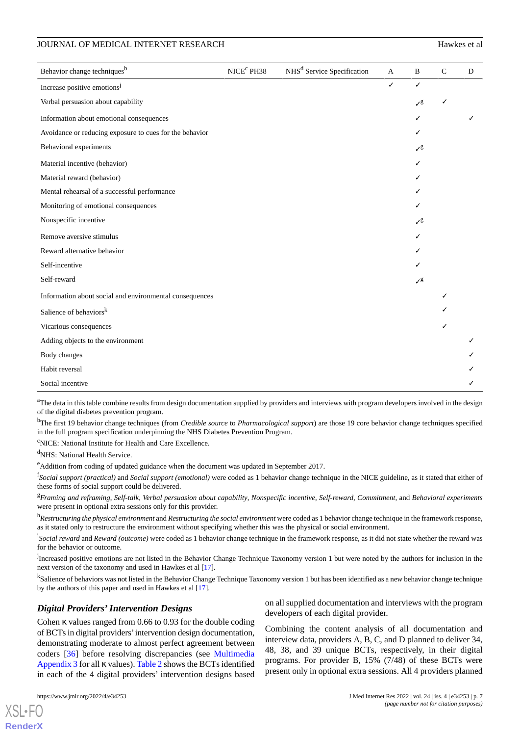| Behavior change techniques <sup>b</sup>                 | NICE <sup>c</sup> PH38 | NHS <sup>d</sup> Service Specification | $\mathbf{A}$ | B               | $\mathbf C$ | D |
|---------------------------------------------------------|------------------------|----------------------------------------|--------------|-----------------|-------------|---|
| Increase positive emotions <sup>1</sup>                 |                        |                                        | ✓            | ✓               |             |   |
| Verbal persuasion about capability                      |                        |                                        |              | $\mathcal{S}^g$ | √           |   |
| Information about emotional consequences                |                        |                                        |              |                 |             | ✓ |
| Avoidance or reducing exposure to cues for the behavior |                        |                                        |              | ℐ               |             |   |
| Behavioral experiments                                  |                        |                                        |              | $\mathcal{S}^g$ |             |   |
| Material incentive (behavior)                           |                        |                                        |              | ✓               |             |   |
| Material reward (behavior)                              |                        |                                        |              |                 |             |   |
| Mental rehearsal of a successful performance            |                        |                                        |              |                 |             |   |
| Monitoring of emotional consequences                    |                        |                                        |              |                 |             |   |
| Nonspecific incentive                                   |                        |                                        |              | $\mathcal{S}^g$ |             |   |
| Remove aversive stimulus                                |                        |                                        |              | ✓               |             |   |
| Reward alternative behavior                             |                        |                                        |              |                 |             |   |
| Self-incentive                                          |                        |                                        |              |                 |             |   |
| Self-reward                                             |                        |                                        |              | $\mathcal{S}^g$ |             |   |
| Information about social and environmental consequences |                        |                                        |              |                 | J           |   |
| Salience of behaviors <sup>k</sup>                      |                        |                                        |              |                 |             |   |
| Vicarious consequences                                  |                        |                                        |              |                 | ✓           |   |
| Adding objects to the environment                       |                        |                                        |              |                 |             | ✓ |
| Body changes                                            |                        |                                        |              |                 |             |   |
| Habit reversal                                          |                        |                                        |              |                 |             |   |
| Social incentive                                        |                        |                                        |              |                 |             |   |

<sup>a</sup>The data in this table combine results from design documentation supplied by providers and interviews with program developers involved in the design of the digital diabetes prevention program.

<sup>b</sup>The first 19 behavior change techniques (from *Credible source* to *Pharmacological support*) are those 19 core behavior change techniques specified in the full program specification underpinning the NHS Diabetes Prevention Program.

<sup>c</sup>NICE: National Institute for Health and Care Excellence.

<sup>d</sup>NHS: National Health Service.

<sup>e</sup>Addition from coding of updated guidance when the document was updated in September 2017.

f *Social support (practical)* and *Social support (emotional)* were coded as 1 behavior change technique in the NICE guideline, as it stated that either of these forms of social support could be delivered.

<sup>g</sup>*Framing and reframing*, *Self-talk*, *Verbal persuasion about capability*, *Nonspecific incentive*, *Self-reward*, *Commitment*, and *Behavioral experiments* were present in optional extra sessions only for this provider.

<sup>h</sup>*Restructuring the physical environment* and *Restructuring the social environment* were coded as 1 behavior change technique in the framework response, as it stated only to restructure the environment without specifying whether this was the physical or social environment.

<sup>i</sup>Social reward and *Reward (outcome)* were coded as 1 behavior change technique in the framework response, as it did not state whether the reward was for the behavior or outcome.

<sup>j</sup>Increased positive emotions are not listed in the Behavior Change Technique Taxonomy version 1 but were noted by the authors for inclusion in the next version of the taxonomy and used in Hawkes et al [[17](#page-13-2)].

<sup>k</sup>Salience of behaviors was not listed in the Behavior Change Technique Taxonomy version 1 but has been identified as a new behavior change technique by the authors of this paper and used in Hawkes et al [[17](#page-13-2)].

## *Digital Providers'Intervention Designs*

Cohen κ values ranged from 0.66 to 0.93 for the double coding of BCTs in digital providers'intervention design documentation, demonstrating moderate to almost perfect agreement between coders [\[36](#page-13-20)] before resolving discrepancies (see [Multimedia](#page-12-16) [Appendix 3](#page-12-16) for all κ values). [Table 2](#page-5-0) shows the BCTs identified in each of the 4 digital providers' intervention designs based

on all supplied documentation and interviews with the program developers of each digital provider.

Combining the content analysis of all documentation and interview data, providers A, B, C, and D planned to deliver 34, 48, 38, and 39 unique BCTs, respectively, in their digital programs. For provider B, 15% (7/48) of these BCTs were present only in optional extra sessions. All 4 providers planned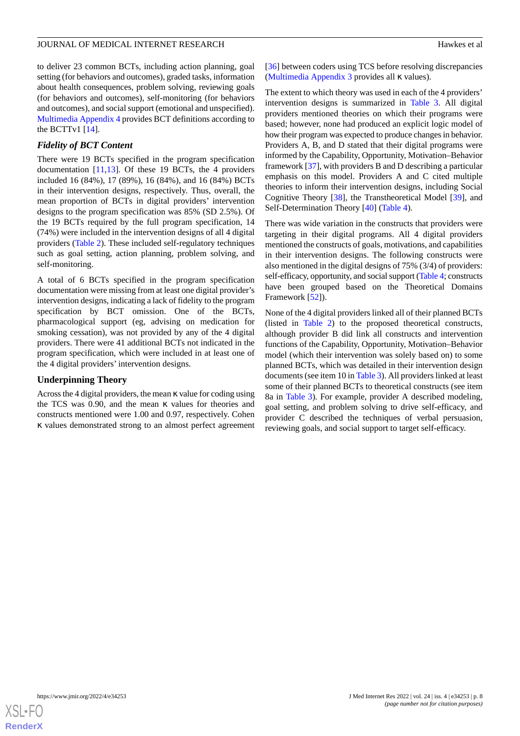to deliver 23 common BCTs, including action planning, goal setting (for behaviors and outcomes), graded tasks, information about health consequences, problem solving, reviewing goals (for behaviors and outcomes), self-monitoring (for behaviors and outcomes), and social support (emotional and unspecified). [Multimedia Appendix 4](#page-12-17) provides BCT definitions according to the BCTTv1 [[14\]](#page-12-13).

## *Fidelity of BCT Content*

There were 19 BCTs specified in the program specification documentation [[11](#page-12-10)[,13](#page-12-12)]. Of these 19 BCTs, the 4 providers included 16 (84%), 17 (89%), 16 (84%), and 16 (84%) BCTs in their intervention designs, respectively. Thus, overall, the mean proportion of BCTs in digital providers' intervention designs to the program specification was 85% (SD 2.5%). Of the 19 BCTs required by the full program specification, 14 (74%) were included in the intervention designs of all 4 digital providers [\(Table 2\)](#page-5-0). These included self-regulatory techniques such as goal setting, action planning, problem solving, and self-monitoring.

A total of 6 BCTs specified in the program specification documentation were missing from at least one digital provider's intervention designs, indicating a lack of fidelity to the program specification by BCT omission. One of the BCTs, pharmacological support (eg, advising on medication for smoking cessation), was not provided by any of the 4 digital providers. There were 41 additional BCTs not indicated in the program specification, which were included in at least one of the 4 digital providers' intervention designs.

#### **Underpinning Theory**

Across the 4 digital providers, the mean κ value for coding using the TCS was 0.90, and the mean κ values for theories and constructs mentioned were 1.00 and 0.97, respectively. Cohen κ values demonstrated strong to an almost perfect agreement [[36\]](#page-13-20) between coders using TCS before resolving discrepancies ([Multimedia Appendix 3](#page-12-16) provides all κ values).

The extent to which theory was used in each of the 4 providers' intervention designs is summarized in [Table 3.](#page-8-0) All digital providers mentioned theories on which their programs were based; however, none had produced an explicit logic model of how their program was expected to produce changes in behavior. Providers A, B, and D stated that their digital programs were informed by the Capability, Opportunity, Motivation–Behavior framework [\[37](#page-14-0)], with providers B and D describing a particular emphasis on this model. Providers A and C cited multiple theories to inform their intervention designs, including Social Cognitive Theory [\[38](#page-14-1)], the Transtheoretical Model [[39\]](#page-14-2), and Self-Determination Theory [\[40](#page-14-3)] [\(Table 4\)](#page-9-0).

There was wide variation in the constructs that providers were targeting in their digital programs. All 4 digital providers mentioned the constructs of goals, motivations, and capabilities in their intervention designs. The following constructs were also mentioned in the digital designs of 75% (3/4) of providers: self-efficacy, opportunity, and social support [\(Table 4](#page-9-0); constructs have been grouped based on the Theoretical Domains Framework [\[52](#page-14-4)]).

None of the 4 digital providers linked all of their planned BCTs (listed in [Table 2\)](#page-5-0) to the proposed theoretical constructs, although provider B did link all constructs and intervention functions of the Capability, Opportunity, Motivation–Behavior model (which their intervention was solely based on) to some planned BCTs, which was detailed in their intervention design documents (see item 10 in [Table 3\)](#page-8-0). All providers linked at least some of their planned BCTs to theoretical constructs (see item 8a in [Table 3\)](#page-8-0). For example, provider A described modeling, goal setting, and problem solving to drive self-efficacy, and provider C described the techniques of verbal persuasion, reviewing goals, and social support to target self-efficacy.

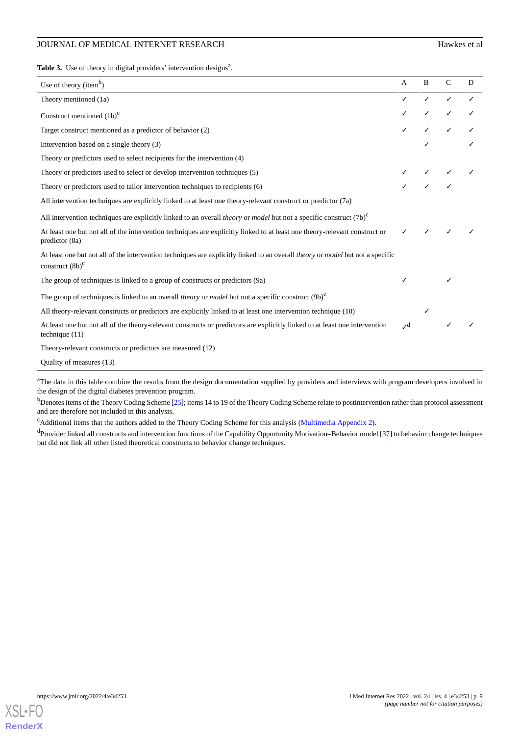## JOURNAL OF MEDICAL INTERNET RESEARCH Hawkes et al.

<span id="page-8-0"></span>Table 3. Use of theory in digital providers' intervention designs<sup>a</sup>.

| Use of theory (item <sup>b</sup> )                                                                                                                                 | $\mathbf{A}$    | B | $\mathcal{C}$ | D |
|--------------------------------------------------------------------------------------------------------------------------------------------------------------------|-----------------|---|---------------|---|
| Theory mentioned (1a)                                                                                                                                              |                 |   |               |   |
| Construct mentioned $(1b)^{c}$                                                                                                                                     |                 |   |               |   |
| Target construct mentioned as a predictor of behavior (2)                                                                                                          |                 |   |               |   |
| Intervention based on a single theory (3)                                                                                                                          |                 |   |               |   |
| Theory or predictors used to select recipients for the intervention (4)                                                                                            |                 |   |               |   |
| Theory or predictors used to select or develop intervention techniques (5)                                                                                         |                 |   |               |   |
| Theory or predictors used to tailor intervention techniques to recipients (6)                                                                                      |                 |   |               |   |
| All intervention techniques are explicitly linked to at least one theory-relevant construct or predictor (7a)                                                      |                 |   |               |   |
| All intervention techniques are explicitly linked to an overall <i>theory</i> or <i>model</i> but not a specific construct (7b) <sup>c</sup>                       |                 |   |               |   |
| At least one but not all of the intervention techniques are explicitly linked to at least one theory-relevant construct or<br>predictor (8a)                       |                 |   |               |   |
| At least one but not all of the intervention techniques are explicitly linked to an overall <i>theory</i> or <i>model</i> but not a specific<br>construct $(8b)^c$ |                 |   |               |   |
| The group of techniques is linked to a group of constructs or predictors (9a)                                                                                      |                 |   |               |   |
| The group of techniques is linked to an overall <i>theory</i> or <i>model</i> but not a specific construct $(9b)^{c}$                                              |                 |   |               |   |
| All theory-relevant constructs or predictors are explicitly linked to at least one intervention technique (10)                                                     |                 |   |               |   |
| At least one but not all of the theory-relevant constructs or predictors are explicitly linked to at least one intervention<br>technique $(11)$                    | $\mathcal{L}^d$ |   |               |   |
| Theory-relevant constructs or predictors are measured (12)                                                                                                         |                 |   |               |   |
| Quality of measures (13)                                                                                                                                           |                 |   |               |   |

<sup>a</sup>The data in this table combine the results from the design documentation supplied by providers and interviews with program developers involved in the design of the digital diabetes prevention program.

<sup>b</sup>Denotes items of the Theory Coding Scheme [\[25\]](#page-13-9); items 14 to 19 of the Theory Coding Scheme relate to postintervention rather than protocol assessment and are therefore not included in this analysis.

<sup>c</sup>Additional items that the authors added to the Theory Coding Scheme for this analysis [\(Multimedia Appendix 2](#page-12-15)).

<sup>d</sup>Provider linked all constructs and intervention functions of the Capability Opportunity Motivation–Behavior model [[37](#page-14-0)] to behavior change techniques but did not link all other listed theoretical constructs to behavior change techniques.

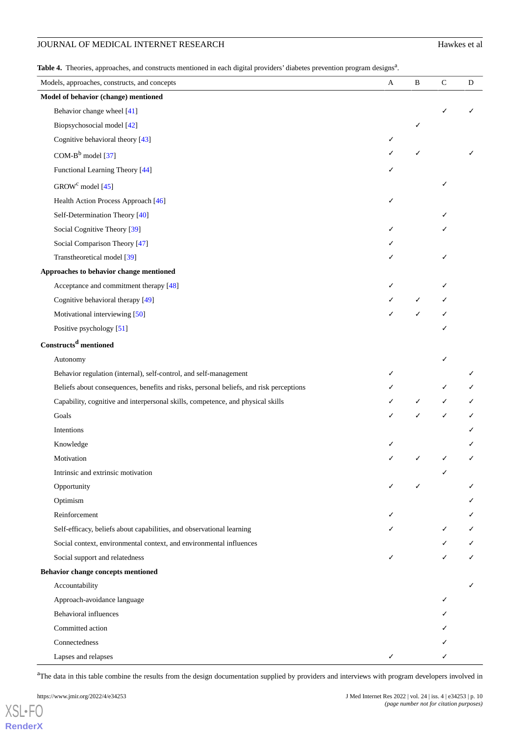## JOURNAL OF MEDICAL INTERNET RESEARCH Hawkes et al.

<span id="page-9-0"></span>Table 4. Theories, approaches, and constructs mentioned in each digital providers' diabetes prevention program designs<sup>a</sup>.

| Models, approaches, constructs, and concepts                                           | $\mathbf{A}$ | $\, {\bf B}$ | $\mathbf C$ | D |
|----------------------------------------------------------------------------------------|--------------|--------------|-------------|---|
| Model of behavior (change) mentioned                                                   |              |              |             |   |
| Behavior change wheel [41]                                                             |              |              |             |   |
| Biopsychosocial model [42]                                                             |              |              |             |   |
| Cognitive behavioral theory [43]                                                       | ✓            |              |             |   |
| COM- $B^b$ model [37]                                                                  |              |              |             |   |
| Functional Learning Theory [44]                                                        |              |              |             |   |
| GROW <sup>c</sup> model [45]                                                           |              |              | ✓           |   |
| Health Action Process Approach [46]                                                    | ✓            |              |             |   |
| Self-Determination Theory [40]                                                         |              |              |             |   |
| Social Cognitive Theory [39]                                                           |              |              |             |   |
| Social Comparison Theory [47]                                                          |              |              |             |   |
| Transtheoretical model [39]                                                            |              |              |             |   |
| Approaches to behavior change mentioned                                                |              |              |             |   |
| Acceptance and commitment therapy [48]                                                 |              |              |             |   |
| Cognitive behavioral therapy [49]                                                      |              |              |             |   |
| Motivational interviewing [50]                                                         |              |              |             |   |
| Positive psychology [51]                                                               |              |              |             |   |
| Constructs <sup>d</sup> mentioned                                                      |              |              |             |   |
| Autonomy                                                                               |              |              | ✓           |   |
| Behavior regulation (internal), self-control, and self-management                      |              |              |             |   |
| Beliefs about consequences, benefits and risks, personal beliefs, and risk perceptions |              |              |             |   |
| Capability, cognitive and interpersonal skills, competence, and physical skills        |              |              |             |   |
| Goals                                                                                  |              |              |             | ✓ |
| Intentions                                                                             |              |              |             |   |
| Knowledge                                                                              |              |              |             |   |
| Motivation                                                                             |              |              |             |   |
| Intrinsic and extrinsic motivation                                                     |              |              |             |   |
| Opportunity                                                                            | ✓            | ✓            |             |   |
| Optimism                                                                               |              |              |             |   |
| Reinforcement                                                                          |              |              |             |   |
| Self-efficacy, beliefs about capabilities, and observational learning                  |              |              |             |   |
| Social context, environmental context, and environmental influences                    |              |              |             |   |
| Social support and relatedness                                                         |              |              |             | ✓ |
| Behavior change concepts mentioned                                                     |              |              |             |   |
| Accountability                                                                         |              |              |             |   |
| Approach-avoidance language                                                            |              |              |             |   |
| <b>Behavioral influences</b>                                                           |              |              |             |   |
| Committed action                                                                       |              |              |             |   |
| Connectedness                                                                          |              |              |             |   |
| Lapses and relapses                                                                    | ✓            |              |             |   |

<sup>a</sup>The data in this table combine the results from the design documentation supplied by providers and interviews with program developers involved in

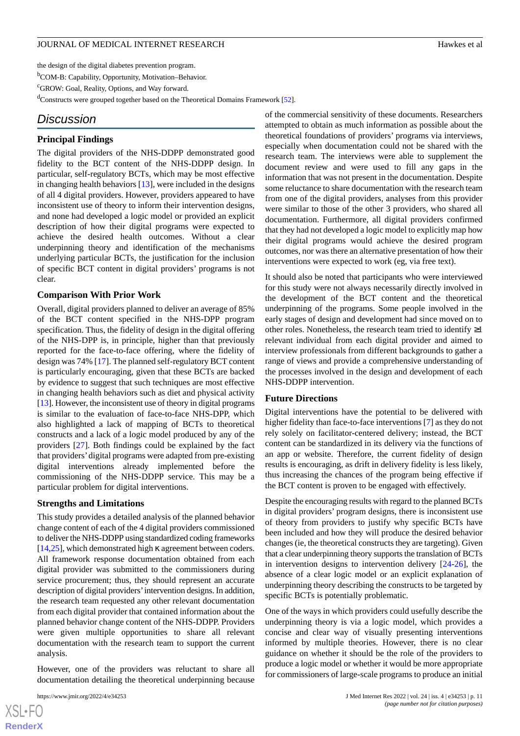the design of the digital diabetes prevention program.

<sup>b</sup>COM-B: Capability, Opportunity, Motivation–Behavior.

<sup>c</sup>GROW: Goal, Reality, Options, and Way forward.

<sup>d</sup>Constructs were grouped together based on the Theoretical Domains Framework [\[52\]](#page-14-4).

## *Discussion*

#### **Principal Findings**

The digital providers of the NHS-DDPP demonstrated good fidelity to the BCT content of the NHS-DDPP design. In particular, self-regulatory BCTs, which may be most effective in changing health behaviors [[13\]](#page-12-12), were included in the designs of all 4 digital providers. However, providers appeared to have inconsistent use of theory to inform their intervention designs, and none had developed a logic model or provided an explicit description of how their digital programs were expected to achieve the desired health outcomes. Without a clear underpinning theory and identification of the mechanisms underlying particular BCTs, the justification for the inclusion of specific BCT content in digital providers' programs is not clear.

#### **Comparison With Prior Work**

Overall, digital providers planned to deliver an average of 85% of the BCT content specified in the NHS-DPP program specification. Thus, the fidelity of design in the digital offering of the NHS-DPP is, in principle, higher than that previously reported for the face-to-face offering, where the fidelity of design was 74% [[17\]](#page-13-2). The planned self-regulatory BCT content is particularly encouraging, given that these BCTs are backed by evidence to suggest that such techniques are most effective in changing health behaviors such as diet and physical activity [[13\]](#page-12-12). However, the inconsistent use of theory in digital programs is similar to the evaluation of face-to-face NHS-DPP, which also highlighted a lack of mapping of BCTs to theoretical constructs and a lack of a logic model produced by any of the providers [\[27](#page-13-11)]. Both findings could be explained by the fact that providers'digital programs were adapted from pre-existing digital interventions already implemented before the commissioning of the NHS-DDPP service. This may be a particular problem for digital interventions.

#### **Strengths and Limitations**

This study provides a detailed analysis of the planned behavior change content of each of the 4 digital providers commissioned to deliver the NHS-DDPP using standardized coding frameworks [[14](#page-12-13)[,25](#page-13-9)], which demonstrated high κ agreement between coders. All framework response documentation obtained from each digital provider was submitted to the commissioners during service procurement; thus, they should represent an accurate description of digital providers'intervention designs. In addition, the research team requested any other relevant documentation from each digital provider that contained information about the planned behavior change content of the NHS-DDPP. Providers were given multiple opportunities to share all relevant documentation with the research team to support the current analysis.

However, one of the providers was reluctant to share all documentation detailing the theoretical underpinning because

of the commercial sensitivity of these documents. Researchers attempted to obtain as much information as possible about the theoretical foundations of providers' programs via interviews, especially when documentation could not be shared with the research team. The interviews were able to supplement the document review and were used to fill any gaps in the information that was not present in the documentation. Despite some reluctance to share documentation with the research team from one of the digital providers, analyses from this provider were similar to those of the other 3 providers, who shared all documentation. Furthermore, all digital providers confirmed that they had not developed a logic model to explicitly map how their digital programs would achieve the desired program outcomes, nor was there an alternative presentation of how their interventions were expected to work (eg, via free text).

It should also be noted that participants who were interviewed for this study were not always necessarily directly involved in the development of the BCT content and the theoretical underpinning of the programs. Some people involved in the early stages of design and development had since moved on to other roles. Nonetheless, the research team tried to identify  $\geq 1$ relevant individual from each digital provider and aimed to interview professionals from different backgrounds to gather a range of views and provide a comprehensive understanding of the processes involved in the design and development of each NHS-DDPP intervention.

#### **Future Directions**

Digital interventions have the potential to be delivered with higher fidelity than face-to-face interventions [\[7](#page-12-6)] as they do not rely solely on facilitator-centered delivery; instead, the BCT content can be standardized in its delivery via the functions of an app or website. Therefore, the current fidelity of design results is encouraging, as drift in delivery fidelity is less likely, thus increasing the chances of the program being effective if the BCT content is proven to be engaged with effectively.

Despite the encouraging results with regard to the planned BCTs in digital providers' program designs, there is inconsistent use of theory from providers to justify why specific BCTs have been included and how they will produce the desired behavior changes (ie, the theoretical constructs they are targeting). Given that a clear underpinning theory supports the translation of BCTs in intervention designs to intervention delivery  $[24-26]$  $[24-26]$  $[24-26]$ , the absence of a clear logic model or an explicit explanation of underpinning theory describing the constructs to be targeted by specific BCTs is potentially problematic.

One of the ways in which providers could usefully describe the underpinning theory is via a logic model, which provides a concise and clear way of visually presenting interventions informed by multiple theories. However, there is no clear guidance on whether it should be the role of the providers to produce a logic model or whether it would be more appropriate for commissioners of large-scale programs to produce an initial

```
XSL•FO
RenderX
```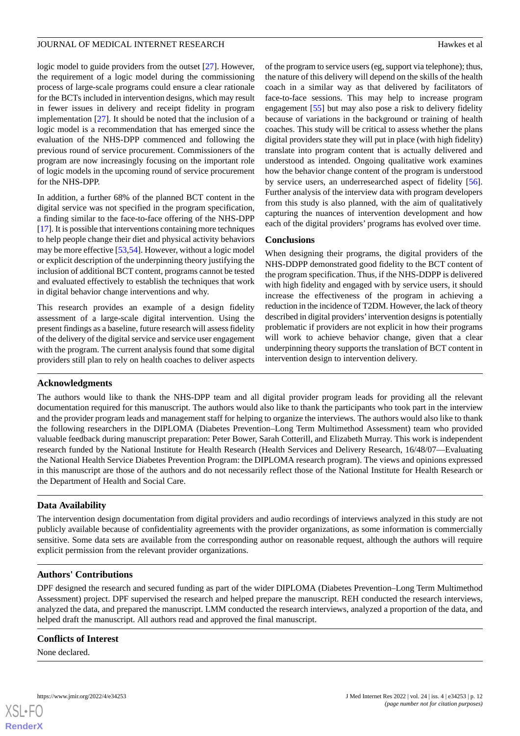logic model to guide providers from the outset [\[27](#page-13-11)]. However, the requirement of a logic model during the commissioning process of large-scale programs could ensure a clear rationale for the BCTs included in intervention designs, which may result in fewer issues in delivery and receipt fidelity in program implementation [\[27](#page-13-11)]. It should be noted that the inclusion of a logic model is a recommendation that has emerged since the evaluation of the NHS-DPP commenced and following the previous round of service procurement. Commissioners of the program are now increasingly focusing on the important role of logic models in the upcoming round of service procurement for the NHS-DPP.

In addition, a further 68% of the planned BCT content in the digital service was not specified in the program specification, a finding similar to the face-to-face offering of the NHS-DPP [[17\]](#page-13-2). It is possible that interventions containing more techniques to help people change their diet and physical activity behaviors may be more effective [\[53](#page-14-16),[54\]](#page-14-17). However, without a logic model or explicit description of the underpinning theory justifying the inclusion of additional BCT content, programs cannot be tested and evaluated effectively to establish the techniques that work in digital behavior change interventions and why.

This research provides an example of a design fidelity assessment of a large-scale digital intervention. Using the present findings as a baseline, future research will assess fidelity of the delivery of the digital service and service user engagement with the program. The current analysis found that some digital providers still plan to rely on health coaches to deliver aspects of the program to service users (eg, support via telephone); thus, the nature of this delivery will depend on the skills of the health coach in a similar way as that delivered by facilitators of face-to-face sessions. This may help to increase program engagement [\[55](#page-14-18)] but may also pose a risk to delivery fidelity because of variations in the background or training of health coaches. This study will be critical to assess whether the plans digital providers state they will put in place (with high fidelity) translate into program content that is actually delivered and understood as intended. Ongoing qualitative work examines how the behavior change content of the program is understood by service users, an underresearched aspect of fidelity [[56\]](#page-14-19). Further analysis of the interview data with program developers from this study is also planned, with the aim of qualitatively capturing the nuances of intervention development and how each of the digital providers' programs has evolved over time.

## **Conclusions**

When designing their programs, the digital providers of the NHS-DDPP demonstrated good fidelity to the BCT content of the program specification. Thus, if the NHS-DDPP is delivered with high fidelity and engaged with by service users, it should increase the effectiveness of the program in achieving a reduction in the incidence of T2DM. However, the lack of theory described in digital providers'intervention designs is potentially problematic if providers are not explicit in how their programs will work to achieve behavior change, given that a clear underpinning theory supports the translation of BCT content in intervention design to intervention delivery.

## **Acknowledgments**

The authors would like to thank the NHS-DPP team and all digital provider program leads for providing all the relevant documentation required for this manuscript. The authors would also like to thank the participants who took part in the interview and the provider program leads and management staff for helping to organize the interviews. The authors would also like to thank the following researchers in the DIPLOMA (Diabetes Prevention–Long Term Multimethod Assessment) team who provided valuable feedback during manuscript preparation: Peter Bower, Sarah Cotterill, and Elizabeth Murray. This work is independent research funded by the National Institute for Health Research (Health Services and Delivery Research, 16/48/07—Evaluating the National Health Service Diabetes Prevention Program: the DIPLOMA research program). The views and opinions expressed in this manuscript are those of the authors and do not necessarily reflect those of the National Institute for Health Research or the Department of Health and Social Care.

## **Data Availability**

The intervention design documentation from digital providers and audio recordings of interviews analyzed in this study are not publicly available because of confidentiality agreements with the provider organizations, as some information is commercially sensitive. Some data sets are available from the corresponding author on reasonable request, although the authors will require explicit permission from the relevant provider organizations.

## **Authors' Contributions**

DPF designed the research and secured funding as part of the wider DIPLOMA (Diabetes Prevention–Long Term Multimethod Assessment) project. DPF supervised the research and helped prepare the manuscript. REH conducted the research interviews, analyzed the data, and prepared the manuscript. LMM conducted the research interviews, analyzed a proportion of the data, and helped draft the manuscript. All authors read and approved the final manuscript.

## **Conflicts of Interest**

None declared.

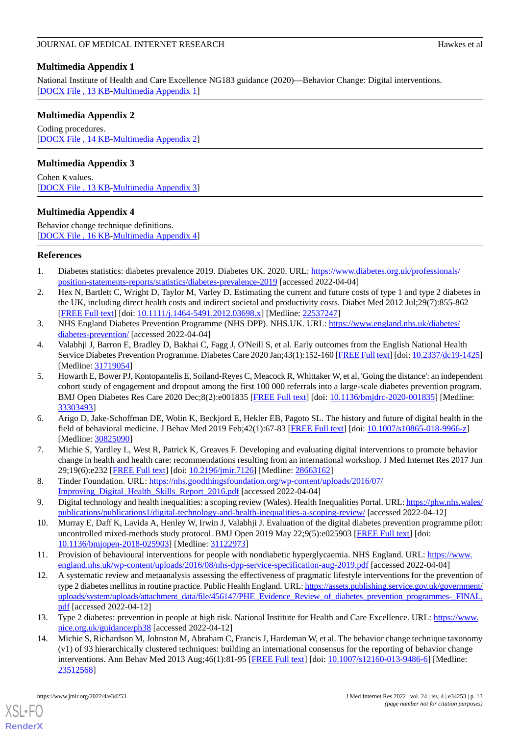## <span id="page-12-14"></span>**Multimedia Appendix 1**

National Institute of Health and Care Excellence NG183 guidance (2020)—Behavior Change: Digital interventions. [[DOCX File , 13 KB](https://jmir.org/api/download?alt_name=jmir_v24i4e34253_app1.docx&filename=baa2d4f65edffb044b634bb04aa6a7b5.docx)-[Multimedia Appendix 1\]](https://jmir.org/api/download?alt_name=jmir_v24i4e34253_app1.docx&filename=baa2d4f65edffb044b634bb04aa6a7b5.docx)

## <span id="page-12-15"></span>**Multimedia Appendix 2**

Coding procedures. [[DOCX File , 14 KB](https://jmir.org/api/download?alt_name=jmir_v24i4e34253_app2.docx&filename=755d0a2b40a299238448a63f688d2aab.docx)-[Multimedia Appendix 2\]](https://jmir.org/api/download?alt_name=jmir_v24i4e34253_app2.docx&filename=755d0a2b40a299238448a63f688d2aab.docx)

## <span id="page-12-16"></span>**Multimedia Appendix 3**

<span id="page-12-17"></span>Cohen κ values. [[DOCX File , 13 KB](https://jmir.org/api/download?alt_name=jmir_v24i4e34253_app3.docx&filename=925a0e77c270898db1eba9e5d1bf2df0.docx)-[Multimedia Appendix 3\]](https://jmir.org/api/download?alt_name=jmir_v24i4e34253_app3.docx&filename=925a0e77c270898db1eba9e5d1bf2df0.docx)

## **Multimedia Appendix 4**

Behavior change technique definitions. [[DOCX File , 16 KB](https://jmir.org/api/download?alt_name=jmir_v24i4e34253_app4.docx&filename=10b2d2843e5402ab1c3b6d71f72b6b5b.docx)-[Multimedia Appendix 4\]](https://jmir.org/api/download?alt_name=jmir_v24i4e34253_app4.docx&filename=10b2d2843e5402ab1c3b6d71f72b6b5b.docx)

## <span id="page-12-1"></span><span id="page-12-0"></span>**References**

- 1. Diabetes statistics: diabetes prevalence 2019. Diabetes UK. 2020. URL: [https://www.diabetes.org.uk/professionals/](https://www.diabetes.org.uk/professionals/position-statements-reports/statistics/diabetes-prevalence-2019) [position-statements-reports/statistics/diabetes-prevalence-2019](https://www.diabetes.org.uk/professionals/position-statements-reports/statistics/diabetes-prevalence-2019) [accessed 2022-04-04]
- <span id="page-12-2"></span>2. Hex N, Bartlett C, Wright D, Taylor M, Varley D. Estimating the current and future costs of type 1 and type 2 diabetes in the UK, including direct health costs and indirect societal and productivity costs. Diabet Med 2012 Jul;29(7):855-862 [[FREE Full text](https://doi.org/10.1111/j.1464-5491.2012.03698.x)] [doi: [10.1111/j.1464-5491.2012.03698.x\]](http://dx.doi.org/10.1111/j.1464-5491.2012.03698.x) [Medline: [22537247\]](http://www.ncbi.nlm.nih.gov/entrez/query.fcgi?cmd=Retrieve&db=PubMed&list_uids=22537247&dopt=Abstract)
- <span id="page-12-3"></span>3. NHS England Diabetes Prevention Programme (NHS DPP). NHS.UK. URL: [https://www.england.nhs.uk/diabetes/](https://www.england.nhs.uk/diabetes/diabetes-prevention/) [diabetes-prevention/](https://www.england.nhs.uk/diabetes/diabetes-prevention/) [accessed 2022-04-04]
- <span id="page-12-4"></span>4. Valabhji J, Barron E, Bradley D, Bakhai C, Fagg J, O'Neill S, et al. Early outcomes from the English National Health Service Diabetes Prevention Programme. Diabetes Care 2020 Jan;43(1):152-160 [\[FREE Full text](http://europepmc.org/abstract/MED/31719054)] [doi: [10.2337/dc19-1425](http://dx.doi.org/10.2337/dc19-1425)] [Medline: [31719054](http://www.ncbi.nlm.nih.gov/entrez/query.fcgi?cmd=Retrieve&db=PubMed&list_uids=31719054&dopt=Abstract)]
- <span id="page-12-5"></span>5. Howarth E, Bower PJ, Kontopantelis E, Soiland-Reyes C, Meacock R, Whittaker W, et al. 'Going the distance': an independent cohort study of engagement and dropout among the first 100 000 referrals into a large-scale diabetes prevention program. BMJ Open Diabetes Res Care 2020 Dec;8(2):e001835 [\[FREE Full text](https://drc.bmj.com/lookup/pmidlookup?view=long&pmid=33303493)] [doi: [10.1136/bmjdrc-2020-001835](http://dx.doi.org/10.1136/bmjdrc-2020-001835)] [Medline: [33303493](http://www.ncbi.nlm.nih.gov/entrez/query.fcgi?cmd=Retrieve&db=PubMed&list_uids=33303493&dopt=Abstract)]
- <span id="page-12-7"></span><span id="page-12-6"></span>6. Arigo D, Jake-Schoffman DE, Wolin K, Beckjord E, Hekler EB, Pagoto SL. The history and future of digital health in the field of behavioral medicine. J Behav Med 2019 Feb;42(1):67-83 [\[FREE Full text\]](http://europepmc.org/abstract/MED/30825090) [doi: [10.1007/s10865-018-9966-z](http://dx.doi.org/10.1007/s10865-018-9966-z)] [Medline: [30825090](http://www.ncbi.nlm.nih.gov/entrez/query.fcgi?cmd=Retrieve&db=PubMed&list_uids=30825090&dopt=Abstract)]
- <span id="page-12-8"></span>7. Michie S, Yardley L, West R, Patrick K, Greaves F. Developing and evaluating digital interventions to promote behavior change in health and health care: recommendations resulting from an international workshop. J Med Internet Res 2017 Jun 29;19(6):e232 [\[FREE Full text](https://www.jmir.org/2017/6/e232/)] [doi: [10.2196/jmir.7126](http://dx.doi.org/10.2196/jmir.7126)] [Medline: [28663162](http://www.ncbi.nlm.nih.gov/entrez/query.fcgi?cmd=Retrieve&db=PubMed&list_uids=28663162&dopt=Abstract)]
- <span id="page-12-9"></span>8. Tinder Foundation. URL: [https://nhs.goodthingsfoundation.org/wp-content/uploads/2016/07/](https://nhs.goodthingsfoundation.org/wp-content/uploads/2016/07/Improving_Digital_Health_Skills_Report_2016.pdf) [Improving\\_Digital\\_Health\\_Skills\\_Report\\_2016.pdf](https://nhs.goodthingsfoundation.org/wp-content/uploads/2016/07/Improving_Digital_Health_Skills_Report_2016.pdf) [accessed 2022-04-04]
- <span id="page-12-10"></span>9. Digital technology and health inequalities: a scoping review (Wales). Health Inequalities Portal. URL: [https://phw.nhs.wales/](https://phw.nhs.wales/publications/publications1/digital-technology-and-health-inequalities-a-scoping-review/) [publications/publications1/digital-technology-and-health-inequalities-a-scoping-review/](https://phw.nhs.wales/publications/publications1/digital-technology-and-health-inequalities-a-scoping-review/) [accessed 2022-04-12]
- <span id="page-12-11"></span>10. Murray E, Daff K, Lavida A, Henley W, Irwin J, Valabhji J. Evaluation of the digital diabetes prevention programme pilot: uncontrolled mixed-methods study protocol. BMJ Open 2019 May 22;9(5):e025903 [[FREE Full text\]](https://bmjopen.bmj.com/lookup/pmidlookup?view=long&pmid=31122973) [doi: [10.1136/bmjopen-2018-025903\]](http://dx.doi.org/10.1136/bmjopen-2018-025903) [Medline: [31122973](http://www.ncbi.nlm.nih.gov/entrez/query.fcgi?cmd=Retrieve&db=PubMed&list_uids=31122973&dopt=Abstract)]
- <span id="page-12-12"></span>11. Provision of behavioural interventions for people with nondiabetic hyperglycaemia. NHS England. URL: [https://www.](https://www.england.nhs.uk/wp-content/uploads/2016/08/nhs-dpp-service-specification-aug-2019.pdf) [england.nhs.uk/wp-content/uploads/2016/08/nhs-dpp-service-specification-aug-2019.pdf](https://www.england.nhs.uk/wp-content/uploads/2016/08/nhs-dpp-service-specification-aug-2019.pdf) [accessed 2022-04-04]
- <span id="page-12-13"></span>12. A systematic review and metaanalysis assessing the effectiveness of pragmatic lifestyle interventions for the prevention of type 2 diabetes mellitus in routine practice. Public Health England. URL: [https://assets.publishing.service.gov.uk/government/](https://assets.publishing.service.gov.uk/government/uploads/system/uploads/attachment_data/file/456147/PHE_Evidence_Review_of_diabetes_prevention_programmes-_FINAL.pdf) [uploads/system/uploads/attachment\\_data/file/456147/PHE\\_Evidence\\_Review\\_of\\_diabetes\\_prevention\\_programmes-\\_FINAL.](https://assets.publishing.service.gov.uk/government/uploads/system/uploads/attachment_data/file/456147/PHE_Evidence_Review_of_diabetes_prevention_programmes-_FINAL.pdf) [pdf](https://assets.publishing.service.gov.uk/government/uploads/system/uploads/attachment_data/file/456147/PHE_Evidence_Review_of_diabetes_prevention_programmes-_FINAL.pdf) [accessed 2022-04-12]
- 13. Type 2 diabetes: prevention in people at high risk. National Institute for Health and Care Excellence. URL: [https://www.](https://www.nice.org.uk/guidance/ph38) [nice.org.uk/guidance/ph38](https://www.nice.org.uk/guidance/ph38) [accessed 2022-04-12]
- 14. Michie S, Richardson M, Johnston M, Abraham C, Francis J, Hardeman W, et al. The behavior change technique taxonomy (v1) of 93 hierarchically clustered techniques: building an international consensus for the reporting of behavior change interventions. Ann Behav Med 2013 Aug;46(1):81-95 [\[FREE Full text](https://doi.org/10.1007/s12160-013-9486-6)] [doi: [10.1007/s12160-013-9486-6\]](http://dx.doi.org/10.1007/s12160-013-9486-6) [Medline: [23512568](http://www.ncbi.nlm.nih.gov/entrez/query.fcgi?cmd=Retrieve&db=PubMed&list_uids=23512568&dopt=Abstract)]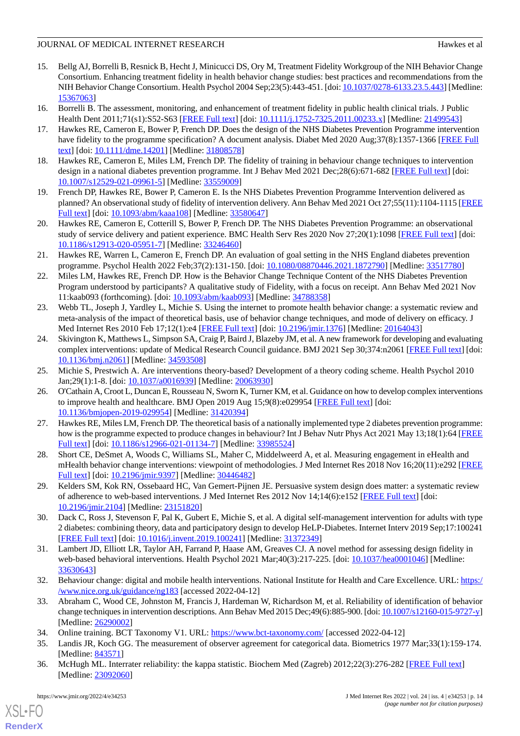- <span id="page-13-0"></span>15. Bellg AJ, Borrelli B, Resnick B, Hecht J, Minicucci DS, Ory M, Treatment Fidelity Workgroup of the NIH Behavior Change Consortium. Enhancing treatment fidelity in health behavior change studies: best practices and recommendations from the NIH Behavior Change Consortium. Health Psychol 2004 Sep;23(5):443-451. [doi: [10.1037/0278-6133.23.5.443](http://dx.doi.org/10.1037/0278-6133.23.5.443)] [Medline: [15367063](http://www.ncbi.nlm.nih.gov/entrez/query.fcgi?cmd=Retrieve&db=PubMed&list_uids=15367063&dopt=Abstract)]
- <span id="page-13-2"></span><span id="page-13-1"></span>16. Borrelli B. The assessment, monitoring, and enhancement of treatment fidelity in public health clinical trials. J Public Health Dent 2011;71(s1):S52-S63 [\[FREE Full text](http://europepmc.org/abstract/MED/21499543)] [doi: [10.1111/j.1752-7325.2011.00233.x](http://dx.doi.org/10.1111/j.1752-7325.2011.00233.x)] [Medline: [21499543\]](http://www.ncbi.nlm.nih.gov/entrez/query.fcgi?cmd=Retrieve&db=PubMed&list_uids=21499543&dopt=Abstract)
- <span id="page-13-3"></span>17. Hawkes RE, Cameron E, Bower P, French DP. Does the design of the NHS Diabetes Prevention Programme intervention have fidelity to the programme specification? A document analysis. Diabet Med 2020 Aug;37(8):1357-1366 [\[FREE Full](http://europepmc.org/abstract/MED/31808578) [text](http://europepmc.org/abstract/MED/31808578)] [doi: [10.1111/dme.14201\]](http://dx.doi.org/10.1111/dme.14201) [Medline: [31808578](http://www.ncbi.nlm.nih.gov/entrez/query.fcgi?cmd=Retrieve&db=PubMed&list_uids=31808578&dopt=Abstract)]
- <span id="page-13-4"></span>18. Hawkes RE, Cameron E, Miles LM, French DP. The fidelity of training in behaviour change techniques to intervention design in a national diabetes prevention programme. Int J Behav Med 2021 Dec;28(6):671-682 [[FREE Full text](http://europepmc.org/abstract/MED/33559009)] [doi: [10.1007/s12529-021-09961-5\]](http://dx.doi.org/10.1007/s12529-021-09961-5) [Medline: [33559009\]](http://www.ncbi.nlm.nih.gov/entrez/query.fcgi?cmd=Retrieve&db=PubMed&list_uids=33559009&dopt=Abstract)
- 19. French DP, Hawkes RE, Bower P, Cameron E. Is the NHS Diabetes Prevention Programme Intervention delivered as planned? An observational study of fidelity of intervention delivery. Ann Behav Med 2021 Oct 27;55(11):1104-1115 [\[FREE](http://europepmc.org/abstract/MED/33580647) [Full text\]](http://europepmc.org/abstract/MED/33580647) [doi: [10.1093/abm/kaaa108\]](http://dx.doi.org/10.1093/abm/kaaa108) [Medline: [33580647\]](http://www.ncbi.nlm.nih.gov/entrez/query.fcgi?cmd=Retrieve&db=PubMed&list_uids=33580647&dopt=Abstract)
- <span id="page-13-5"></span>20. Hawkes RE, Cameron E, Cotterill S, Bower P, French DP. The NHS Diabetes Prevention Programme: an observational study of service delivery and patient experience. BMC Health Serv Res 2020 Nov 27;20(1):1098 [\[FREE Full text\]](https://bmchealthservres.biomedcentral.com/articles/10.1186/s12913-020-05951-7) [doi: [10.1186/s12913-020-05951-7\]](http://dx.doi.org/10.1186/s12913-020-05951-7) [Medline: [33246460\]](http://www.ncbi.nlm.nih.gov/entrez/query.fcgi?cmd=Retrieve&db=PubMed&list_uids=33246460&dopt=Abstract)
- <span id="page-13-6"></span>21. Hawkes RE, Warren L, Cameron E, French DP. An evaluation of goal setting in the NHS England diabetes prevention programme. Psychol Health 2022 Feb;37(2):131-150. [doi: [10.1080/08870446.2021.1872790\]](http://dx.doi.org/10.1080/08870446.2021.1872790) [Medline: [33517780](http://www.ncbi.nlm.nih.gov/entrez/query.fcgi?cmd=Retrieve&db=PubMed&list_uids=33517780&dopt=Abstract)]
- <span id="page-13-7"></span>22. Miles LM, Hawkes RE, French DP. How is the Behavior Change Technique Content of the NHS Diabetes Prevention Program understood by participants? A qualitative study of Fidelity, with a focus on receipt. Ann Behav Med 2021 Nov 11:kaab093 (forthcoming). [doi: [10.1093/abm/kaab093](http://dx.doi.org/10.1093/abm/kaab093)] [Medline: [34788358](http://www.ncbi.nlm.nih.gov/entrez/query.fcgi?cmd=Retrieve&db=PubMed&list_uids=34788358&dopt=Abstract)]
- <span id="page-13-8"></span>23. Webb TL, Joseph J, Yardley L, Michie S. Using the internet to promote health behavior change: a systematic review and meta-analysis of the impact of theoretical basis, use of behavior change techniques, and mode of delivery on efficacy. J Med Internet Res 2010 Feb 17;12(1):e4 [[FREE Full text](https://www.jmir.org/2010/1/e4/)] [doi: [10.2196/jmir.1376](http://dx.doi.org/10.2196/jmir.1376)] [Medline: [20164043](http://www.ncbi.nlm.nih.gov/entrez/query.fcgi?cmd=Retrieve&db=PubMed&list_uids=20164043&dopt=Abstract)]
- <span id="page-13-10"></span><span id="page-13-9"></span>24. Skivington K, Matthews L, Simpson SA, Craig P, Baird J, Blazeby JM, et al. A new framework for developing and evaluating complex interventions: update of Medical Research Council guidance. BMJ 2021 Sep 30;374:n2061 [[FREE Full text](http://www.bmj.com/lookup/pmidlookup?view=long&pmid=34593508)] [doi: [10.1136/bmj.n2061\]](http://dx.doi.org/10.1136/bmj.n2061) [Medline: [34593508\]](http://www.ncbi.nlm.nih.gov/entrez/query.fcgi?cmd=Retrieve&db=PubMed&list_uids=34593508&dopt=Abstract)
- 25. Michie S, Prestwich A. Are interventions theory-based? Development of a theory coding scheme. Health Psychol 2010 Jan;29(1):1-8. [doi: [10.1037/a0016939\]](http://dx.doi.org/10.1037/a0016939) [Medline: [20063930](http://www.ncbi.nlm.nih.gov/entrez/query.fcgi?cmd=Retrieve&db=PubMed&list_uids=20063930&dopt=Abstract)]
- <span id="page-13-11"></span>26. O'Cathain A, Croot L, Duncan E, Rousseau N, Sworn K, Turner KM, et al. Guidance on how to develop complex interventions to improve health and healthcare. BMJ Open 2019 Aug 15;9(8):e029954 [\[FREE Full text\]](https://bmjopen.bmj.com/lookup/pmidlookup?view=long&pmid=31420394) [doi: [10.1136/bmjopen-2019-029954\]](http://dx.doi.org/10.1136/bmjopen-2019-029954) [Medline: [31420394](http://www.ncbi.nlm.nih.gov/entrez/query.fcgi?cmd=Retrieve&db=PubMed&list_uids=31420394&dopt=Abstract)]
- <span id="page-13-13"></span><span id="page-13-12"></span>27. Hawkes RE, Miles LM, French DP. The theoretical basis of a nationally implemented type 2 diabetes prevention programme: how is the programme expected to produce changes in behaviour? Int J Behav Nutr Phys Act 2021 May 13;18(1):64 [\[FREE](https://ijbnpa.biomedcentral.com/articles/10.1186/s12966-021-01134-7) [Full text\]](https://ijbnpa.biomedcentral.com/articles/10.1186/s12966-021-01134-7) [doi: [10.1186/s12966-021-01134-7](http://dx.doi.org/10.1186/s12966-021-01134-7)] [Medline: [33985524](http://www.ncbi.nlm.nih.gov/entrez/query.fcgi?cmd=Retrieve&db=PubMed&list_uids=33985524&dopt=Abstract)]
- <span id="page-13-14"></span>28. Short CE, DeSmet A, Woods C, Williams SL, Maher C, Middelweerd A, et al. Measuring engagement in eHealth and mHealth behavior change interventions: viewpoint of methodologies. J Med Internet Res 2018 Nov 16;20(11):e292 [\[FREE](https://www.jmir.org/2018/11/e292/) [Full text\]](https://www.jmir.org/2018/11/e292/) [doi: [10.2196/jmir.9397](http://dx.doi.org/10.2196/jmir.9397)] [Medline: [30446482\]](http://www.ncbi.nlm.nih.gov/entrez/query.fcgi?cmd=Retrieve&db=PubMed&list_uids=30446482&dopt=Abstract)
- <span id="page-13-15"></span>29. Kelders SM, Kok RN, Ossebaard HC, Van Gemert-Pijnen JE. Persuasive system design does matter: a systematic review of adherence to web-based interventions. J Med Internet Res 2012 Nov 14;14(6):e152 [[FREE Full text](https://www.jmir.org/2012/6/e152/)] [doi: [10.2196/jmir.2104](http://dx.doi.org/10.2196/jmir.2104)] [Medline: [23151820](http://www.ncbi.nlm.nih.gov/entrez/query.fcgi?cmd=Retrieve&db=PubMed&list_uids=23151820&dopt=Abstract)]
- <span id="page-13-16"></span>30. Dack C, Ross J, Stevenson F, Pal K, Gubert E, Michie S, et al. A digital self-management intervention for adults with type 2 diabetes: combining theory, data and participatory design to develop HeLP-Diabetes. Internet Interv 2019 Sep;17:100241 [[FREE Full text](https://linkinghub.elsevier.com/retrieve/pii/S2214-7829(18)30042-3)] [doi: [10.1016/j.invent.2019.100241\]](http://dx.doi.org/10.1016/j.invent.2019.100241) [Medline: [31372349](http://www.ncbi.nlm.nih.gov/entrez/query.fcgi?cmd=Retrieve&db=PubMed&list_uids=31372349&dopt=Abstract)]
- <span id="page-13-17"></span>31. Lambert JD, Elliott LR, Taylor AH, Farrand P, Haase AM, Greaves CJ. A novel method for assessing design fidelity in web-based behavioral interventions. Health Psychol 2021 Mar;40(3):217-225. [doi: [10.1037/hea0001046\]](http://dx.doi.org/10.1037/hea0001046) [Medline: [33630643](http://www.ncbi.nlm.nih.gov/entrez/query.fcgi?cmd=Retrieve&db=PubMed&list_uids=33630643&dopt=Abstract)]
- <span id="page-13-19"></span><span id="page-13-18"></span>32. Behaviour change: digital and mobile health interventions. National Institute for Health and Care Excellence. URL: [https:/](https://www.nice.org.uk/guidance/ng183) [/www.nice.org.uk/guidance/ng183](https://www.nice.org.uk/guidance/ng183) [accessed 2022-04-12]
- <span id="page-13-20"></span>33. Abraham C, Wood CE, Johnston M, Francis J, Hardeman W, Richardson M, et al. Reliability of identification of behavior change techniques in intervention descriptions. Ann Behav Med 2015 Dec;49(6):885-900. [doi: [10.1007/s12160-015-9727-y\]](http://dx.doi.org/10.1007/s12160-015-9727-y) [Medline: [26290002](http://www.ncbi.nlm.nih.gov/entrez/query.fcgi?cmd=Retrieve&db=PubMed&list_uids=26290002&dopt=Abstract)]
- 34. Online training. BCT Taxonomy V1. URL: <https://www.bct-taxonomy.com/> [accessed 2022-04-12]
- 35. Landis JR, Koch GG. The measurement of observer agreement for categorical data. Biometrics 1977 Mar;33(1):159-174. [Medline: [843571](http://www.ncbi.nlm.nih.gov/entrez/query.fcgi?cmd=Retrieve&db=PubMed&list_uids=843571&dopt=Abstract)]
- 36. McHugh ML. Interrater reliability: the kappa statistic. Biochem Med (Zagreb) 2012;22(3):276-282 [\[FREE Full text\]](http://www.biochemia-medica.com/2012/22/276) [Medline: [23092060](http://www.ncbi.nlm.nih.gov/entrez/query.fcgi?cmd=Retrieve&db=PubMed&list_uids=23092060&dopt=Abstract)]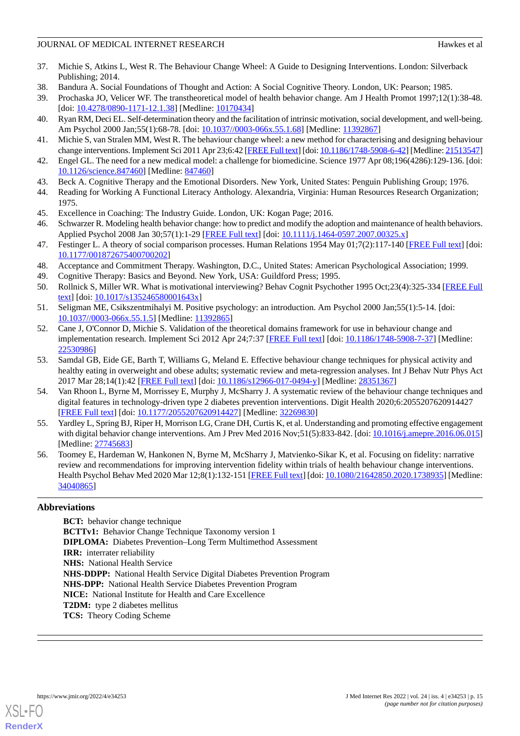- <span id="page-14-0"></span>37. Michie S, Atkins L, West R. The Behaviour Change Wheel: A Guide to Designing Interventions. London: Silverback Publishing; 2014.
- <span id="page-14-2"></span><span id="page-14-1"></span>38. Bandura A. Social Foundations of Thought and Action: A Social Cognitive Theory. London, UK: Pearson; 1985.
- <span id="page-14-3"></span>39. Prochaska JO, Velicer WF. The transtheoretical model of health behavior change. Am J Health Promot 1997;12(1):38-48. [doi: [10.4278/0890-1171-12.1.38\]](http://dx.doi.org/10.4278/0890-1171-12.1.38) [Medline: [10170434\]](http://www.ncbi.nlm.nih.gov/entrez/query.fcgi?cmd=Retrieve&db=PubMed&list_uids=10170434&dopt=Abstract)
- <span id="page-14-5"></span>40. Ryan RM, Deci EL. Self-determination theory and the facilitation of intrinsic motivation, social development, and well-being. Am Psychol 2000 Jan;55(1):68-78. [doi: [10.1037//0003-066x.55.1.68\]](http://dx.doi.org/10.1037//0003-066x.55.1.68) [Medline: [11392867\]](http://www.ncbi.nlm.nih.gov/entrez/query.fcgi?cmd=Retrieve&db=PubMed&list_uids=11392867&dopt=Abstract)
- <span id="page-14-6"></span>41. Michie S, van Stralen MM, West R. The behaviour change wheel: a new method for characterising and designing behaviour change interventions. Implement Sci 2011 Apr 23;6:42 [\[FREE Full text](https://implementationscience.biomedcentral.com/articles/10.1186/1748-5908-6-42)] [doi: [10.1186/1748-5908-6-42\]](http://dx.doi.org/10.1186/1748-5908-6-42) [Medline: [21513547\]](http://www.ncbi.nlm.nih.gov/entrez/query.fcgi?cmd=Retrieve&db=PubMed&list_uids=21513547&dopt=Abstract)
- <span id="page-14-7"></span>42. Engel GL. The need for a new medical model: a challenge for biomedicine. Science 1977 Apr 08;196(4286):129-136. [doi: [10.1126/science.847460\]](http://dx.doi.org/10.1126/science.847460) [Medline: [847460\]](http://www.ncbi.nlm.nih.gov/entrez/query.fcgi?cmd=Retrieve&db=PubMed&list_uids=847460&dopt=Abstract)
- <span id="page-14-8"></span>43. Beck A. Cognitive Therapy and the Emotional Disorders. New York, United States: Penguin Publishing Group; 1976.
- <span id="page-14-10"></span><span id="page-14-9"></span>44. Reading for Working A Functional Literacy Anthology. Alexandria, Virginia: Human Resources Research Organization; 1975.
- 45. Excellence in Coaching: The Industry Guide. London, UK: Kogan Page; 2016.
- <span id="page-14-11"></span>46. Schwarzer R. Modeling health behavior change: how to predict and modify the adoption and maintenance of health behaviors. Applied Psychol 2008 Jan 30;57(1):1-29 [\[FREE Full text\]](https://doi.org/10.1111/j.1464-0597.2007.00325.x) [doi: [10.1111/j.1464-0597.2007.00325.x](http://dx.doi.org/10.1111/j.1464-0597.2007.00325.x)]
- <span id="page-14-13"></span><span id="page-14-12"></span>47. Festinger L. A theory of social comparison processes. Human Relations 1954 May 01;7(2):117-140 [\[FREE Full text](https://doi.org/10.1177/001872675400700202)] [doi: [10.1177/001872675400700202\]](http://dx.doi.org/10.1177/001872675400700202)
- <span id="page-14-14"></span>48. Acceptance and Commitment Therapy. Washington, D.C., United States: American Psychological Association; 1999.
- <span id="page-14-15"></span>49. Cognitive Therapy: Basics and Beyond. New York, USA: Guildford Press; 1995.
- <span id="page-14-4"></span>50. Rollnick S, Miller WR. What is motivational interviewing? Behav Cognit Psychother 1995 Oct;23(4):325-334 [[FREE Full](https://doi.org/10.1017/S135246580001643X) [text](https://doi.org/10.1017/S135246580001643X)] [doi: [10.1017/s135246580001643x\]](http://dx.doi.org/10.1017/s135246580001643x)
- 51. Seligman ME, Csikszentmihalyi M. Positive psychology: an introduction. Am Psychol 2000 Jan;55(1):5-14. [doi: [10.1037//0003-066x.55.1.5](http://dx.doi.org/10.1037//0003-066x.55.1.5)] [Medline: [11392865](http://www.ncbi.nlm.nih.gov/entrez/query.fcgi?cmd=Retrieve&db=PubMed&list_uids=11392865&dopt=Abstract)]
- <span id="page-14-16"></span>52. Cane J, O'Connor D, Michie S. Validation of the theoretical domains framework for use in behaviour change and implementation research. Implement Sci 2012 Apr 24;7:37 [\[FREE Full text\]](https://implementationscience.biomedcentral.com/articles/10.1186/1748-5908-7-37) [doi: [10.1186/1748-5908-7-37](http://dx.doi.org/10.1186/1748-5908-7-37)] [Medline: [22530986](http://www.ncbi.nlm.nih.gov/entrez/query.fcgi?cmd=Retrieve&db=PubMed&list_uids=22530986&dopt=Abstract)]
- <span id="page-14-17"></span>53. Samdal GB, Eide GE, Barth T, Williams G, Meland E. Effective behaviour change techniques for physical activity and healthy eating in overweight and obese adults; systematic review and meta-regression analyses. Int J Behav Nutr Phys Act 2017 Mar 28;14(1):42 [\[FREE Full text\]](https://ijbnpa.biomedcentral.com/articles/10.1186/s12966-017-0494-y) [doi: [10.1186/s12966-017-0494-y](http://dx.doi.org/10.1186/s12966-017-0494-y)] [Medline: [28351367\]](http://www.ncbi.nlm.nih.gov/entrez/query.fcgi?cmd=Retrieve&db=PubMed&list_uids=28351367&dopt=Abstract)
- <span id="page-14-18"></span>54. Van Rhoon L, Byrne M, Morrissey E, Murphy J, McSharry J. A systematic review of the behaviour change techniques and digital features in technology-driven type 2 diabetes prevention interventions. Digit Health 2020;6:2055207620914427 [[FREE Full text](https://journals.sagepub.com/doi/10.1177/2055207620914427?url_ver=Z39.88-2003&rfr_id=ori:rid:crossref.org&rfr_dat=cr_pub%3dpubmed)] [doi: [10.1177/2055207620914427\]](http://dx.doi.org/10.1177/2055207620914427) [Medline: [32269830](http://www.ncbi.nlm.nih.gov/entrez/query.fcgi?cmd=Retrieve&db=PubMed&list_uids=32269830&dopt=Abstract)]
- <span id="page-14-19"></span>55. Yardley L, Spring BJ, Riper H, Morrison LG, Crane DH, Curtis K, et al. Understanding and promoting effective engagement with digital behavior change interventions. Am J Prev Med 2016 Nov;51(5):833-842. [doi: [10.1016/j.amepre.2016.06.015](http://dx.doi.org/10.1016/j.amepre.2016.06.015)] [Medline: [27745683](http://www.ncbi.nlm.nih.gov/entrez/query.fcgi?cmd=Retrieve&db=PubMed&list_uids=27745683&dopt=Abstract)]
- 56. Toomey E, Hardeman W, Hankonen N, Byrne M, McSharry J, Matvienko-Sikar K, et al. Focusing on fidelity: narrative review and recommendations for improving intervention fidelity within trials of health behaviour change interventions. Health Psychol Behav Med 2020 Mar 12;8(1):132-151 [[FREE Full text\]](http://europepmc.org/abstract/MED/34040865) [doi: [10.1080/21642850.2020.1738935](http://dx.doi.org/10.1080/21642850.2020.1738935)] [Medline: [34040865](http://www.ncbi.nlm.nih.gov/entrez/query.fcgi?cmd=Retrieve&db=PubMed&list_uids=34040865&dopt=Abstract)]

## **Abbreviations**

**BCT:** behavior change technique **BCTTv1:** Behavior Change Technique Taxonomy version 1 **DIPLOMA:** Diabetes Prevention–Long Term Multimethod Assessment **IRR:** interrater reliability **NHS:** National Health Service **NHS-DDPP:** National Health Service Digital Diabetes Prevention Program **NHS-DPP:** National Health Service Diabetes Prevention Program **NICE:** National Institute for Health and Care Excellence **T2DM:** type 2 diabetes mellitus **TCS:** Theory Coding Scheme